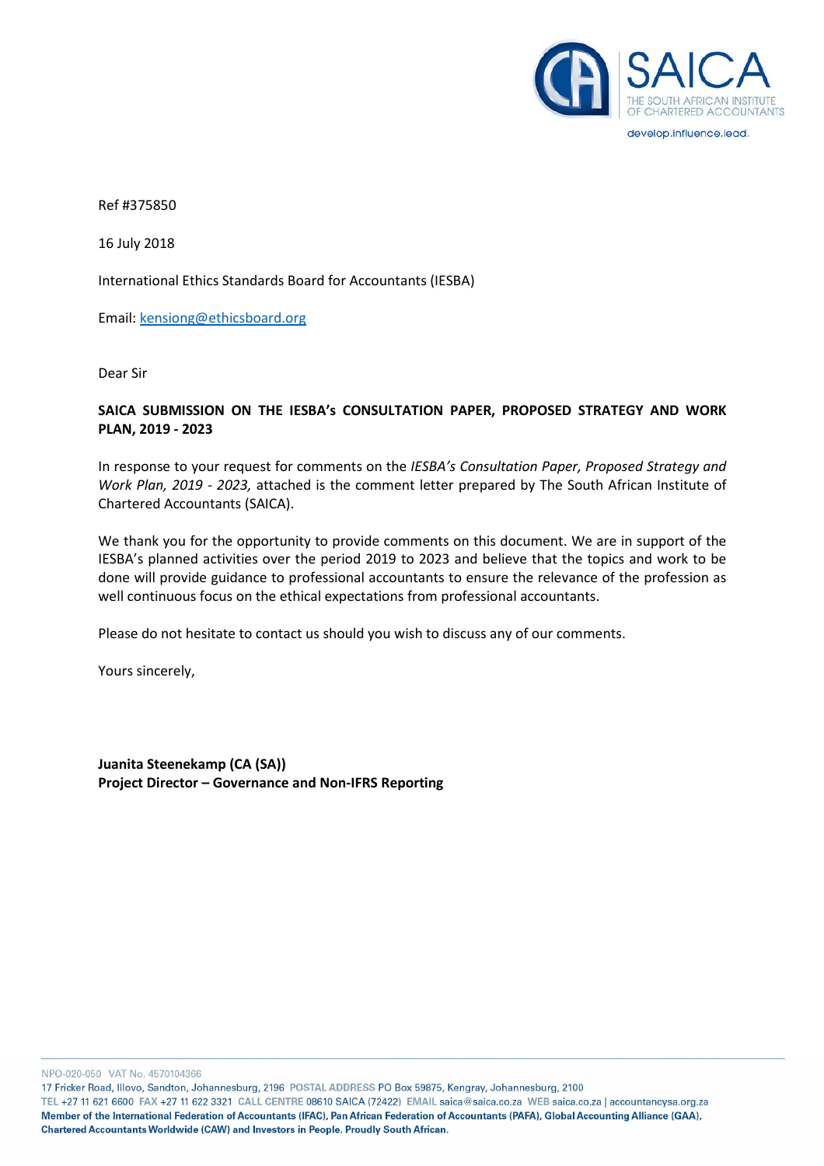

develop.influence.lead.

Ref #375850

16 July 2018

International Ethics Standards Board for Accountants (IESBA)

Email: kensiong@ethicsboard.org

Dear Sir

# SAICA SUBMISSION ON THE IESBA's CONSULTATION PAPER, PROPOSED STRATEGY AND WORK PLAN, 2019 - 2023

In response to your request for comments on the IESBA's Consultation Paper, Proposed Strategy and Work Plan, 2019 - 2023, attached is the comment letter prepared by The South African Institute of Chartered Accountants (SAICA).

We thank you for the opportunity to provide comments on this document. We are in support of the IESBA's planned activities over the period 2019 to 2023 and believe that the topics and work to be done will provide guidance to professional accountants to ensure the relevance of the profession as well continuous focus on the ethical expectations from professional accountants.

Please do not hesitate to contact us should you wish to discuss any of our comments.

Yours sincerely,

Juanita Steenekamp (CA (SA)) Project Director – Governance and Non-IFRS Reporting

NPO-020-050 VAT No. 4570104366

17 Fricker Road, Illovo, Sandton, Johannesburg, 2196 POSTAL ADDRESS PO Box 59875, Kengray, Johannesburg, 2100

TEL +27 11 621 6600 FAX +27 11 622 3321 CALL CENTRE 08610 SAICA (72422) EMAIL saica@saica.co.za WEB saica.co.za | accountancysa.org.za Member of the International Federation of Accountants (IFAC), Pan African Federation of Accountants (PAFA), Global Accounting Alliance (GAA), Chartered Accountants Worldwide (CAW) and Investors in People. Proudly South African.